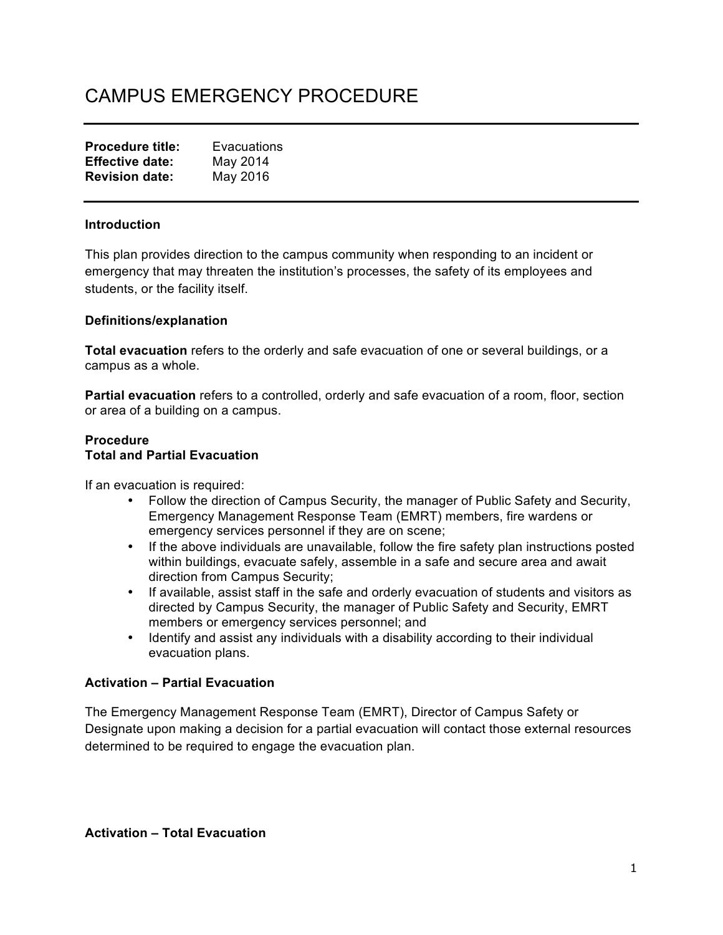# CAMPUS EMERGENCY PROCEDURE

| <b>Procedure title:</b> | Evacuations |
|-------------------------|-------------|
| <b>Effective date:</b>  | May 2014    |
| <b>Revision date:</b>   | May 2016    |

#### **Introduction**

This plan provides direction to the campus community when responding to an incident or emergency that may threaten the institution's processes, the safety of its employees and students, or the facility itself.

#### **Definitions/explanation**

**Total evacuation** refers to the orderly and safe evacuation of one or several buildings, or a campus as a whole.

**Partial evacuation** refers to a controlled, orderly and safe evacuation of a room, floor, section or area of a building on a campus.

#### **Procedure Total and Partial Evacuation**

If an evacuation is required:

- Follow the direction of Campus Security, the manager of Public Safety and Security, Emergency Management Response Team (EMRT) members, fire wardens or emergency services personnel if they are on scene;
- If the above individuals are unavailable, follow the fire safety plan instructions posted within buildings, evacuate safely, assemble in a safe and secure area and await direction from Campus Security;
- If available, assist staff in the safe and orderly evacuation of students and visitors as directed by Campus Security, the manager of Public Safety and Security, EMRT members or emergency services personnel; and
- Identify and assist any individuals with a disability according to their individual evacuation plans.

#### **Activation – Partial Evacuation**

The Emergency Management Response Team (EMRT), Director of Campus Safety or Designate upon making a decision for a partial evacuation will contact those external resources determined to be required to engage the evacuation plan.